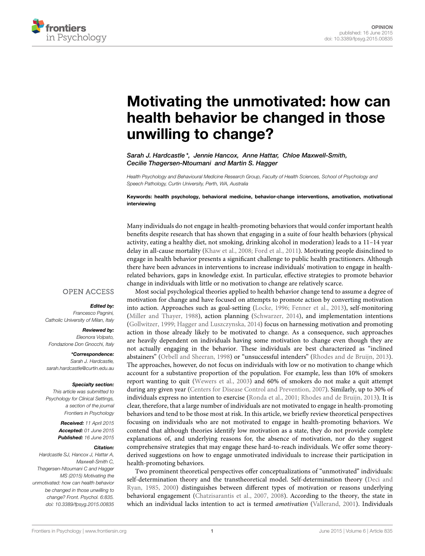

# Motivating the unmotivated: how can [health behavior be changed in those](http://journal.frontiersin.org/article/10.3389/fpsyg.2015.00835/full) unwilling to change?

[Sarah J. Hardcastle](http://community.frontiersin.org/people/u/143100)\*, Jennie Hancox, Anne Hattar, [Chloe Maxwell-Smith,](http://community.frontiersin.org/people/u/242675) [Cecilie Thøgersen-Ntoumani](http://community.frontiersin.org/people/u/243953) and [Martin S. Hagger](http://community.frontiersin.org/people/u/21368)

*Health Psychology and Behavioural Medicine Research Group, Faculty of Health Sciences, School of Psychology and Speech Pathology, Curtin University, Perth, WA, Australia*

Keywords: health psychology, behavioral medicine, behavior-change interventions, amotivation, motivational interviewing

Many individuals do not engage in health-promoting behaviors that would confer important health benefits despite research that has shown that engaging in a suite of four health behaviors (physical activity, eating a healthy diet, not smoking, drinking alcohol in moderation) leads to a 11–14 year delay in all-cause mortality [\(Khaw et al., 2008;](#page-3-0) [Ford et al., 2011\)](#page-2-0). Motivating people disinclined to engage in health behavior presents a significant challenge to public health practitioners. Although there have been advances in interventions to increase individuals' motivation to engage in healthrelated behaviors, gaps in knowledge exist. In particular, effective strategies to promote behavior change in individuals with little or no motivation to change are relatively scarce.

## **OPEN ACCESS**

## Edited by:

*Francesco Pagnini, Catholic University of Milan, Italy*

#### Reviewed by:

*Eleonora Volpato, Fondazione Don Gnocchi, Italy*

\*Correspondence: *Sarah J. Hardcastle, [sarah.hardcastle@curtin.edu.au](mailto:sarah.hardcastle@curtin.edu.au)*

#### Specialty section:

*This article was submitted to Psychology for Clinical Settings, a section of the journal Frontiers in Psychology*

> Received: *11 April 2015* Accepted: *01 June 2015* Published: *16 June 2015*

#### Citation:

*Hardcastle SJ, Hancox J, Hattar A, Maxwell-Smith C, Thøgersen-Ntoumani C and Hagger MS (2015) Motivating the unmotivated: how can health behavior be changed in those unwilling to change? Front. Psychol. 6:835. doi: [10.3389/fpsyg.2015.00835](http://dx.doi.org/10.3389/fpsyg.2015.00835)*

Most social psychological theories applied to health behavior change tend to assume a degree of motivation for change and have focused on attempts to promote action by converting motivation into action. Approaches such as goal-setting [\(Locke, 1996;](#page-3-1) [Fenner et al., 2013\)](#page-2-1), self-monitoring [\(Miller and Thayer, 1988\)](#page-3-2), action planning [\(Schwarzer, 2014\)](#page-3-3), and implementation intentions [\(Gollwitzer, 1999;](#page-2-2) [Hagger and Luszczynska, 2014\)](#page-2-3) focus on harnessing motivation and promoting action in those already likely to be motivated to change. As a consequence, such approaches are heavily dependent on individuals having some motivation to change even though they are not actually engaging in the behavior. These individuals are best characterized as "inclined abstainers" [\(Orbell and Sheeran, 1998\)](#page-3-4) or "unsuccessful intenders" [\(Rhodes and de Bruijn, 2013\)](#page-3-5). The approaches, however, do not focus on individuals with low or no motivation to change which account for a substantive proportion of the population. For example, less than 10% of smokers report wanting to quit [\(Wewers et al., 2003\)](#page-3-6) and 60% of smokers do not make a quit attempt during any given year [\(Centers for Disease Control and Prevention, 2007\)](#page-2-4). Similarly, up to 30% of individuals express no intention to exercise [\(Ronda et al., 2001;](#page-3-7) [Rhodes and de Bruijn, 2013\)](#page-3-5). It is clear, therefore, that a large number of individuals are not motivated to engage in health-promoting behaviors and tend to be those most at risk. In this article, we briefly review theoretical perspectives focusing on individuals who are not motivated to engage in health-promoting behaviors. We contend that although theories identify low motivation as a state, they do not provide complete explanations of, and underlying reasons for, the absence of motivation, nor do they suggest comprehensive strategies that may engage these hard-to-reach individuals. We offer some theoryderived suggestions on how to engage unmotivated individuals to increase their participation in health-promoting behaviors.

Two prominent theoretical perspectives offer conceptualizations of "unmotivated" individuals: self-determination theory and the transtheoretical model. Self-determination theory (Deci and Ryan, [1985,](#page-2-5) [2000\)](#page-2-6) distinguishes between different types of motivation or reasons underlying behavioral engagement [\(Chatzisarantis et al., 2007,](#page-2-7) [2008\)](#page-2-8). According to the theory, the state in which an individual lacks intention to act is termed *amotivation* [\(Vallerand, 2001\)](#page-3-8). Individuals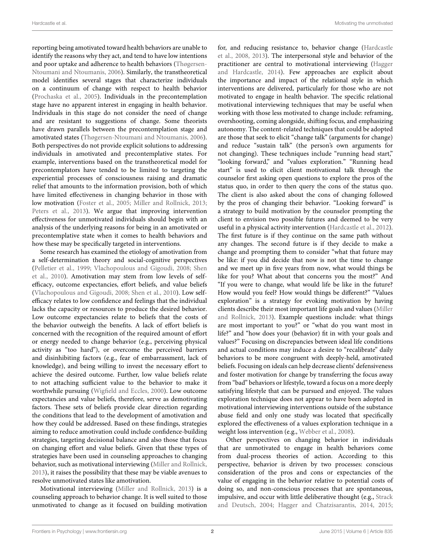reporting being amotivated toward health behaviors are unable to identify the reasons why they act, and tend to have low intentions and poor uptake and adherence to health behaviors (Thøgersen-Ntoumani and Ntoumanis, [2006\)](#page-3-9). Similarly, the transtheoretical model identifies several stages that characterize individuals on a continuum of change with respect to health behavior [\(Prochaska et al., 2005\)](#page-3-10). Individuals in the precontemplation stage have no apparent interest in engaging in health behavior. Individuals in this stage do not consider the need of change and are resistant to suggestions of change. Some theorists have drawn parallels between the precontemplation stage and amotivated states [\(Thøgersen-Ntoumani and Ntoumanis, 2006\)](#page-3-9). Both perspectives do not provide explicit solutions to addressing individuals in amotivated and precontemplative states. For example, interventions based on the transtheoretical model for precontemplators have tended to be limited to targeting the experiential processes of consciousness raising and dramatic relief that amounts to the information provision, both of which have limited effectiveness in changing behavior in those with low motivation [\(Foster et al., 2005;](#page-2-9) [Miller and Rollnick, 2013;](#page-3-11) [Peters et al., 2013\)](#page-3-12). We argue that improving intervention effectiveness for unmotivated individuals should begin with an analysis of the underlying reasons for being in an amotivated or precontemplative state when it comes to health behaviors and how these may be specifically targeted in interventions.

Some research has examined the etiology of amotivation from a self-determination theory and social-cognitive perspectives [\(Pelletier et al., 1999;](#page-3-13) [Vlachopoulous and Gigoudi, 2008;](#page-3-14) Shen et al., [2010\)](#page-3-15). Amotivation may stem from low levels of selfefficacy, outcome expectancies, effort beliefs, and value beliefs [\(Vlachopoulous and Gigoudi, 2008;](#page-3-14) [Shen et al., 2010\)](#page-3-15). Low selfefficacy relates to low confidence and feelings that the individual lacks the capacity or resources to produce the desired behavior. Low outcome expectancies relate to beliefs that the costs of the behavior outweigh the benefits. A lack of effort beliefs is concerned with the recognition of the required amount of effort or energy needed to change behavior (e.g., perceiving physical activity as "too hard"), or overcome the perceived barriers and disinhibiting factors (e.g., fear of embarrassment, lack of knowledge), and being willing to invest the necessary effort to achieve the desired outcome. Further, low value beliefs relate to not attaching sufficient value to the behavior to make it worthwhile pursuing [\(Wigfield and Eccles, 2000\)](#page-3-16). Low outcome expectancies and value beliefs, therefore, serve as demotivating factors. These sets of beliefs provide clear direction regarding the conditions that lead to the development of amotivation and how they could be addressed. Based on these findings, strategies aiming to reduce amotivation could include confidence-building strategies, targeting decisional balance and also those that focus on changing effort and value beliefs. Given that these types of strategies have been used in counseling approaches to changing behavior, such as motivational interviewing [\(Miller and Rollnick,](#page-3-11) [2013\)](#page-3-11), it raises the possibility that these may be viable avenues to resolve unmotivated states like amotivation.

Motivational interviewing [\(Miller and Rollnick, 2013\)](#page-3-11) is a counseling approach to behavior change. It is well suited to those unmotivated to change as it focused on building motivation for, and reducing resistance to, behavior change (Hardcastle et al., [2008,](#page-3-17) [2013\)](#page-3-18). The interpersonal style and behavior of the practitioner are central to motivational interviewing (Hagger and Hardcastle, [2014\)](#page-2-10). Few approaches are explicit about the importance and impact of the relational style in which interventions are delivered, particularly for those who are not motivated to engage in health behavior. The specific relational motivational interviewing techniques that may be useful when working with those less motivated to change include: reframing, overshooting, coming alongside, shifting focus, and emphasizing autonomy. The content-related techniques that could be adopted are those that seek to elicit "change talk" (arguments for change) and reduce "sustain talk" (the person's own arguments for not changing). These techniques include "running head start," "looking forward," and "values exploration." "Running head start" is used to elicit client motivational talk through the counselor first asking open questions to explore the pros of the status quo, in order to then query the cons of the status quo. The client is also asked about the cons of changing followed by the pros of changing their behavior. "Looking forward" is a strategy to build motivation by the counselor prompting the client to envision two possible futures and deemed to be very useful in a physical activity intervention [\(Hardcastle et al., 2012\)](#page-3-19). The first future is if they continue on the same path without any changes. The second future is if they decide to make a change and prompting them to consider "what that future may be like: if you did decide that now is not the time to change and we meet up in five years from now, what would things be like for you? What about that concerns you the most?" And "If you were to change, what would life be like in the future? How would you feel? How would things be different?" "Values exploration" is a strategy for evoking motivation by having clients describe their most important life goals and values (Miller and Rollnick, [2013\)](#page-3-11). Example questions include: what things are most important to you?" or "what do you want most in life?" and "how does your (behavior) fit in with your goals and values?" Focusing on discrepancies between ideal life conditions and actual conditions may induce a desire to "recalibrate" daily behaviors to be more congruent with deeply-held, amotivated beliefs. Focusing on ideals can help decrease clients' defensiveness and foster motivation for change by transferring the focus away from "bad" behaviors or lifestyle, toward a focus on a more deeply satisfying lifestyle that can be pursued and enjoyed. The values exploration technique does not appear to have been adopted in motivational interviewing interventions outside of the substance abuse field and only one study was located that specifically explored the effectiveness of a values exploration technique in a weight loss intervention (e.g., [Webber et al., 2008\)](#page-3-20).

Other perspectives on changing behavior in individuals that are unmotivated to engage in health behaviors come from dual-process theories of action. According to this perspective, behavior is driven by two processes: conscious consideration of the pros and cons or expectancies of the value of engaging in the behavior relative to potential costs of doing so, and non-conscious processes that are spontaneous, impulsive, and occur with little deliberative thought (e.g., Strack and Deutsch, [2004;](#page-3-21) [Hagger and Chatzisarantis, 2014,](#page-2-11) [2015;](#page-2-12)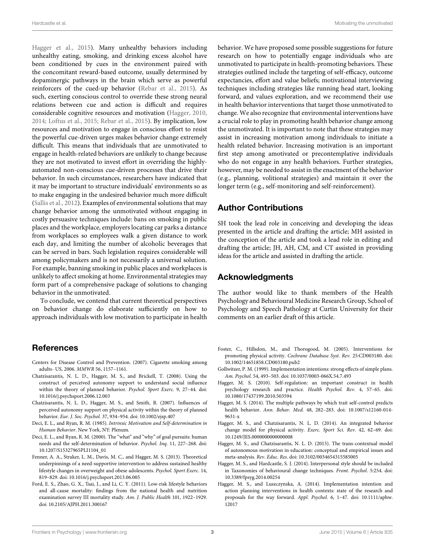[Hagger et al., 2015\)](#page-3-22). Many unhealthy behaviors including unhealthy eating, smoking, and drinking excess alcohol have been conditioned by cues in the environment paired with the concomitant reward-based outcome, usually determined by dopaminergic pathways in the brain which serve as powerful reinforcers of the cued-up behavior [\(Rebar et al., 2015\)](#page-3-23). As such, exerting conscious control to override these strong neural relations between cue and action is difficult and requires considerable cognitive resources and motivation [\(Hagger, 2010,](#page-2-13) [2014;](#page-2-14) [Loftus et al., 2015;](#page-3-24) [Rebar et al., 2015\)](#page-3-23). By implication, low resources and motivation to engage in conscious effort to resist the powerful cue-driven urges makes behavior change extremely difficult. This means that individuals that are unmotivated to engage in health-related behaviors are unlikely to change because they are not motivated to invest effort in overriding the highlyautomated non-conscious cue-driven processes that drive their behavior. In such circumstances, researchers have indicated that it may be important to structure individuals' environments so as to make engaging in the undesired behavior much more difficult [\(Sallis et al., 2012\)](#page-3-25). Examples of environmental solutions that may change behavior among the unmotivated without engaging in costly persuasive techniques include: bans on smoking in public places and the workplace, employers locating car parks a distance from workplaces so employees walk a given distance to work each day, and limiting the number of alcoholic beverages that can be served in bars. Such legislation requires considerable will among policymakers and is not necessarily a universal solution. For example, banning smoking in public places and workplaces is unlikely to affect smoking at home. Environmental strategies may form part of a comprehensive package of solutions to changing behavior in the unmotivated.

To conclude, we contend that current theoretical perspectives on behavior change do elaborate sufficiently on how to approach individuals with low motivation to participate in health

# **References**

- <span id="page-2-4"></span>Centers for Disease Control and Prevention. (2007). Cigarette smoking among adults- US, 2006. MMWR 56, 1157–1161.
- <span id="page-2-8"></span>Chatzisarantis, N. L. D., Hagger, M. S., and Brickell, T. (2008). Using the construct of perceived autonomy support to understand social influence within the theory of planned behavior. Psychol. Sport Exerc. 9, 27–44. doi: 10.1016/j.psychsport.2006.12.003
- <span id="page-2-7"></span>Chatzisarantis, N. L. D., Hagger, M. S., and Smith, B. (2007). Influences of perceived autonomy support on physical activity within the theory of planned behavior. Eur. J. Soc. Psychol. 37, 934–954. doi: 10.1002/ejsp.407
- <span id="page-2-5"></span>Deci, E. L., and Ryan, R. M. (1985). Intrinsic Motivation and Self-determination in Human Behavior. New York, NY: Plenum.
- <span id="page-2-6"></span>Deci, E. L., and Ryan, R. M. (2000). The "what" and "why" of goal pursuits: human needs and the self-determination of behavior. Psychol. Inq. 11, 227–268. doi: 10.1207/S15327965PLI1104\_01
- <span id="page-2-1"></span>Fenner, A. A., Straker, L. M., Davis, M. C., and Hagger, M. S. (2013). Theoretical underpinnings of a need-supportive intervention to address sustained healthy lifestyle changes in overweight and obese adolescents. Psychol. Sport Exerc. 14, 819–829. doi: 10.1016/j.psychsport.2013.06.005
- <span id="page-2-0"></span>Ford, E. S., Zhao, G. X., Tsai, J., and Li, C. Y. (2011). Low-risk lifestyle behaviors and all-cause mortality: findings from the national health and nutrition examination survey III mortality study. Am. J. Public Health 101, 1922–1929. doi: 10.2105/AJPH.2011.300167

behavior. We have proposed some possible suggestions for future research on how to potentially engage individuals who are unmotivated to participate in health-promoting behaviors. These strategies outlined include the targeting of self-efficacy, outcome expectancies, effort and value beliefs; motivational interviewing techniques including strategies like running head start, looking forward, and values exploration, and we recommend their use in health behavior interventions that target those unmotivated to change. We also recognize that environmental interventions have a crucial role to play in promoting health behavior change among the unmotivated. It is important to note that these strategies may assist in increasing motivation among individuals to initiate a health related behavior. Increasing motivation is an important first step among amotivated or precontemplative individuals who do not engage in any health behaviors. Further strategies, however, may be needed to assist in the enactment of the behavior (e.g., planning, volitional strategies) and maintain it over the longer term (e.g., self-monitoring and self-reinforcement).

## Author Contributions

SH took the lead role in conceiving and developing the ideas presented in the article and drafting the article; MH assisted in the conception of the article and took a lead role in editing and drafting the article; JH, AH, CM, and CT assisted in providing ideas for the article and assisted in drafting the article.

## Acknowledgments

The author would like to thank members of the Health Psychology and Behavioural Medicine Research Group, School of Psychology and Speech Pathology at Curtin University for their comments on an earlier draft of this article.

- <span id="page-2-9"></span>Foster, C., Hillsdon, M., and Thorogood, M. (2005). Interventions for promoting physical activity. Cochrane Database Syst. Rev. 25:CD003180. doi: 10.1002/14651858.CD003180.pub2
- <span id="page-2-2"></span>Gollwitzer, P. M. (1999). Implementation intentions: strong effects of simple plans. Am. Psychol. 54, 493–503. doi: 10.1037/0003-066X.54.7.493
- <span id="page-2-13"></span>Hagger, M. S. (2010). Self-regulation: an important construct in health psychology research and practice. Health Psychol. Rev. 4, 57–65. doi: 10.1080/17437199.2010.503594
- <span id="page-2-14"></span>Hagger, M. S. (2014). The multiple pathways by which trait self-control predicts health behavior. Ann. Behav. Med. 48, 282–283. doi: 10.1007/s12160-014- 9631-x
- <span id="page-2-11"></span>Hagger, M. S., and Chatzisarantis, N. L. D. (2014). An integrated behavior change model for physical activity. Exerc. Sport Sci. Rev. 42, 62–69. doi: 10.1249/JES.0000000000000008
- <span id="page-2-12"></span>Hagger, M. S., and Chatzisarantis, N. L. D. (2015). The trans-contextual model of autonomous motivation in education: conceptual and empirical issues and meta-analysis. Rev. Educ. Res. doi: 10.3102/0034654315585005
- <span id="page-2-10"></span>Hagger, M. S., and Hardcastle, S. J. (2014). Interpersonal style should be included in Taxonomies of behavioural change techniques. Front. Psychol. 5:254. doi: 10.3389/fpsyg.2014.00254
- <span id="page-2-3"></span>Hagger, M. S., and Luszczynska, A. (2014). Implementation intention and action planning interventions in health contexts: state of the research and proposals for the way forward. Appl. Psychol. 6, 1–47. doi: 10.1111/aphw. 12017